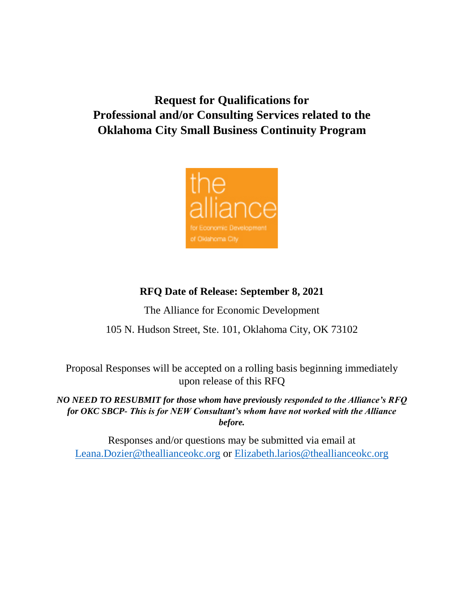# **Request for Qualifications for Professional and/or Consulting Services related to the Oklahoma City Small Business Continuity Program**



# **RFQ Date of Release: September 8, 2021**

The Alliance for Economic Development

105 N. Hudson Street, Ste. 101, Oklahoma City, OK 73102

Proposal Responses will be accepted on a rolling basis beginning immediately upon release of this RFQ

*NO NEED TO RESUBMIT for those whom have previously responded to the Alliance's RFQ for OKC SBCP- This is for NEW Consultant's whom have not worked with the Alliance before.*

Responses and/or questions may be submitted via email at [Leana.Dozier@theallianceokc.org](mailto:Leana.Dozier@theallianceokc.org) or Elizabeth.larios@theallianceokc.org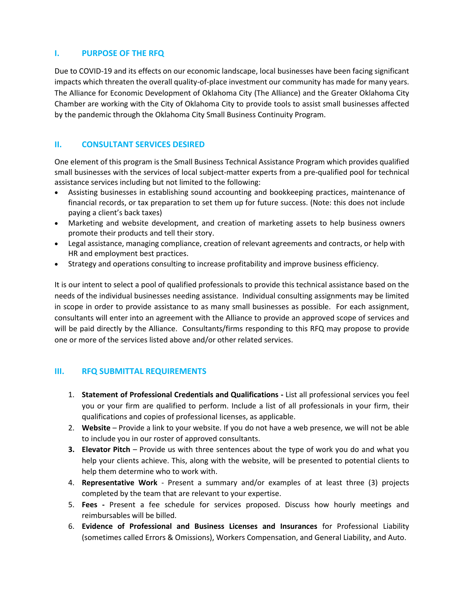### **I. PURPOSE OF THE RFQ**

Due to COVID-19 and its effects on our economic landscape, local businesses have been facing significant impacts which threaten the overall quality-of-place investment our community has made for many years. The Alliance for Economic Development of Oklahoma City (The Alliance) and the Greater Oklahoma City Chamber are working with the City of Oklahoma City to provide tools to assist small businesses affected by the pandemic through the Oklahoma City Small Business Continuity Program.

# **II. CONSULTANT SERVICES DESIRED**

One element of this program is the Small Business Technical Assistance Program which provides qualified small businesses with the services of local subject-matter experts from a pre-qualified pool for technical assistance services including but not limited to the following:

- Assisting businesses in establishing sound accounting and bookkeeping practices, maintenance of financial records, or tax preparation to set them up for future success. (Note: this does not include paying a client's back taxes)
- Marketing and website development, and creation of marketing assets to help business owners promote their products and tell their story.
- Legal assistance, managing compliance, creation of relevant agreements and contracts, or help with HR and employment best practices.
- Strategy and operations consulting to increase profitability and improve business efficiency.

It is our intent to select a pool of qualified professionals to provide this technical assistance based on the needs of the individual businesses needing assistance. Individual consulting assignments may be limited in scope in order to provide assistance to as many small businesses as possible. For each assignment, consultants will enter into an agreement with the Alliance to provide an approved scope of services and will be paid directly by the Alliance. Consultants/firms responding to this RFQ may propose to provide one or more of the services listed above and/or other related services.

# **III. RFQ SUBMITTAL REQUIREMENTS**

- 1. **Statement of Professional Credentials and Qualifications -** List all professional services you feel you or your firm are qualified to perform. Include a list of all professionals in your firm, their qualifications and copies of professional licenses, as applicable.
- 2. **Website** Provide a link to your website. If you do not have a web presence, we will not be able to include you in our roster of approved consultants.
- **3. Elevator Pitch** Provide us with three sentences about the type of work you do and what you help your clients achieve. This, along with the website, will be presented to potential clients to help them determine who to work with.
- 4. **Representative Work** Present a summary and/or examples of at least three (3) projects completed by the team that are relevant to your expertise.
- 5. **Fees -** Present a fee schedule for services proposed. Discuss how hourly meetings and reimbursables will be billed.
- 6. **Evidence of Professional and Business Licenses and Insurances** for Professional Liability (sometimes called Errors & Omissions), Workers Compensation, and General Liability, and Auto.